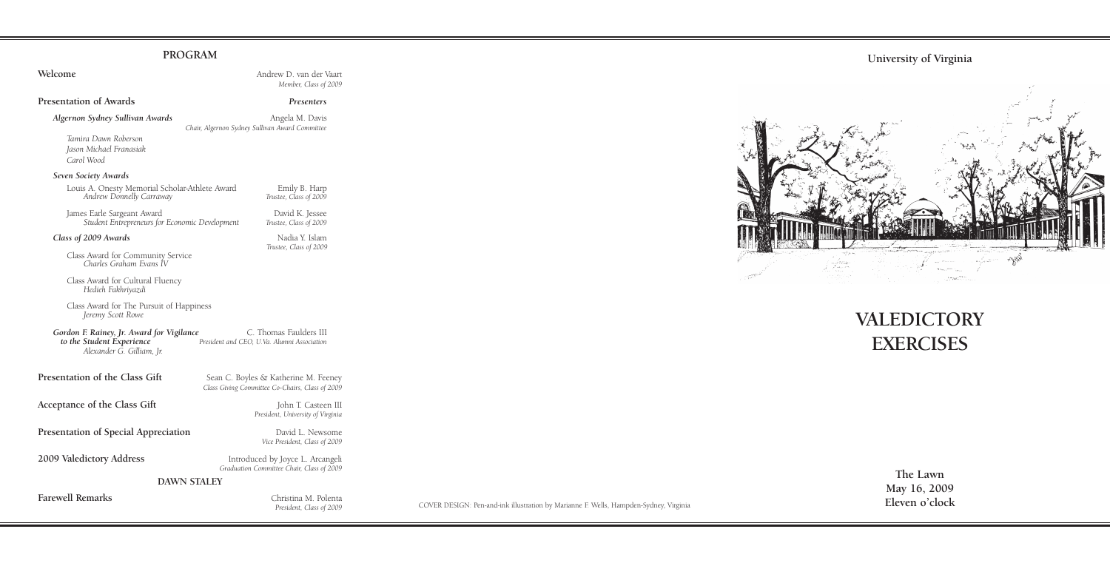# **PROGRAM**

## **Welcome Andrew D. van der Vaart** *Member, Class of 2009* **Presentation of Awards** *Presenters* Algernon Sydney Sullivan Awards<br>
Angela M. Davis *Chair, Algernon Sydney Sullivan Award Committee Tamira Dawn Roberson Jason Michael Franasiak Carol Wood Seven Society Awards*  Louis A. Onesty Memorial Scholar-Athlete Award Emily B. Harp *Andrew Donnelly Carraway Trustee, Class of 2009* James Earle Sargeant Award David K. Jessee *Student Entrepreneurs for Economic Development Trustee, Class of 2009* **Class of 2009 Awards** Nadia Y. Islam *Trustee, Class of 2009* Class Award for Community Service *Charles Graham Evans IV* Class Award for Cultural Fluency *Hedieh Fakhriyazdi* Class Award for The Pursuit of Happiness *Jeremy Scott Rowe* **Gordon F. Rainey, Jr. Award for Vigilance** C. Thomas Faulders III to the Student Experience President and CEO, U.Va. Alumni Association *to the Student Experience President and CEO, U.Va. Alumni Association Alexander G. Gilliam, Jr.* **Presentation of the Class Gift** Sean C. Boyles & Katherine M. Feeney *Class Giving Committee Co-Chairs, Class of 2009* **Acceptance of the Class Gift** John T. Casteen III *President, University of Virginia* **Presentation of Special Appreciation** *David L. Newsome Vice President, Class of 2009* **2009 Valedictory Address** Introduced by Joyce L. Arcangeli *Graduation Committee Chair, Class of 2009* **DAWN STALEY Farewell Remarks** Christina M. Polenta

*President, Class of 2009*



# **VALEDICTORY EXERCISES**

**The Lawn May 16, 2009**

COVER DESIGN: Pen-and-ink illustration by Marianne F. Wells, Hampden-Sydney, Virginia **Eleven o'clock**